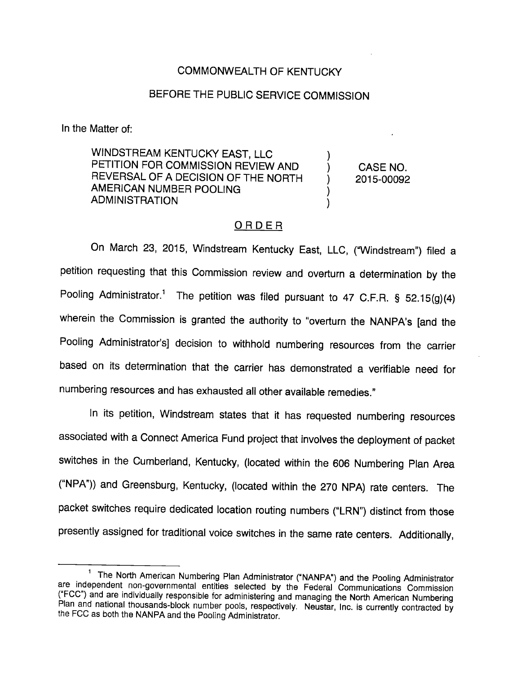## COMMONWEALTH OF KENTUCKY

## BEFORE THE PUBLIC SERVICE COMMISSION

In the Matter of:

WINDSTREAM KENTUCKY EAST, LLC PETITION FOR COMMISSION REVIEW AND  $\qquad$  ) CASE NO. REVERSAL OF A DECISION OF THE NORTH ) 2015-00092 AMERICAN NUMBER POOLING ADMINISTRATION

## ORDER

On March 23, 2015, Windstream Kentucky East, LLC, ("Windstream") filed a petition requesting that this Commission review and overturn a determination by the Pooling Administrator.<sup>1</sup> The petition was filed pursuant to 47 C.F.R. § 52.15(g)(4) wherein the Commission is granted the authority to "overturn the NANPA's [and the Pooling Administrator's] decision to withhold numbering resources from the carrier based on its determination that the carrier has demonstrated a verifiable need for numbering resources and has exhausted all other available remedies."

In its petition, Windstream states that it has requested numbering resources associated with a Connect America Fund project that involves the deployment of packet switches in the Cumberland, Kentucky, (located within the 606 Numbering Plan Area ("NPA")) and Greensburg, Kentucky, (located within the 270 NPA) rate centers. The packet switches require dedicated location routing numbers ("LRN") distinct from those presently assigned for traditional voice switches in the same rate centers. Additionally,

<sup>&</sup>lt;sup>1</sup> The North American Numbering Plan Administrator ("NANPA") and the Pooling Administrator are independent non-governmental entities selected by the Federal Communications Commission ("FCC") and are individually responsible for administering and managing the North American Numbering Plan and national thousands-block number pools, respectively. Neustar, Inc. is currently contracted by the FCC as both the NANPA and the Pooling Administrator.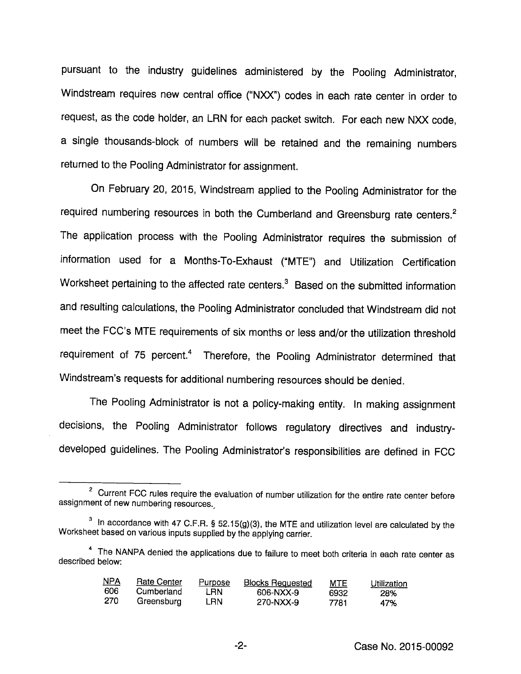pursuant to the industry guidelines administered by the Pooling Administrator, Windstream requires new central office ("NXX") codes in each rate center in order to request, as the code holder, an LRN for each packet switch. For each new NXX code, a single thousands-block of numbers will be retained and the remaining numbers returned to the Pooling Administrator for assignment.

On February 20, 2015, Windstream applied to the Pooling Administrator for the required numbering resources in both the Cumberland and Greensburg rate centers.<sup>2</sup> The application process with the Pooling Administrator requires the submission of information used for a Months-To-Exhaust ("MTE") and Utilization Certification Worksheet pertaining to the affected rate centers.<sup>3</sup> Based on the submitted information and resulting calculations, the Pooling Administrator concluded that Windstream did not meet the FCC's MTE requirements of six months or less and/or the utilization threshold requirement of 75 percent.<sup>4</sup> Therefore, the Pooling Administrator determined that Windstream's requests for additional numbering resources should be denied.

The Pooling Administrator is not a policy-making entity. In making assignment decisions, the Pooling Administrator follows regulatory directives and industrydeveloped guidelines. The Pooling Administrator's responsibilities are defined in FCC

<sup>&</sup>lt;sup>4</sup> The NANPA denied the applications due to failure to meet both criteria in each rate center as described below:

| NPA  | <b>Rate Center</b> | Purpose | <b>Blocks Requested</b> | <u>MTE</u> | Utilization |
|------|--------------------|---------|-------------------------|------------|-------------|
| 606  | Cumberland         | LRN     | 606-NXX-9               | 6932       | 28%         |
| -270 | Greensburg         | LRN     | 270-NXX-9               | 7781       | 47%         |

<sup>&</sup>lt;sup>2</sup> Current FCC rules require the evaluation of number utilization for the entire rate center before assignment of new numbering resources.

 $3$  In accordance with 47 C.F.R. § 52.15(g)(3), the MTE and utilization level are calculated by the Worksheet based on various inputs supplied by the applying carrier.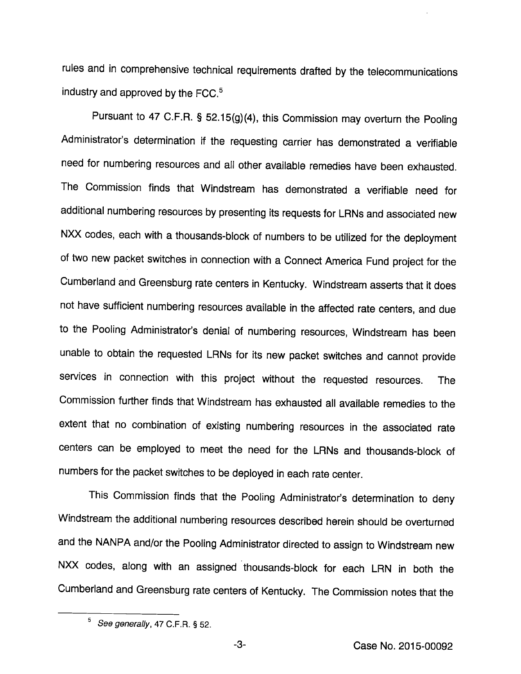rules and in comprehensive technical requirements drafted by the telecommunications industry and approved by the  $FCC<sup>5</sup>$ .

Pursuant to 47 C.F.R. § 52.15(g)(4), this Commission may overturn the Pooling Administrator's determination if the requesting carrier has demonstrated a verifiable need for numbering resources and all other available remedies have been exhausted. The Commission finds that Windstream has demonstrated a verifiable need for additional numbering resources by presenting its requests for LRNs and associated new NXX codes, each with a thousands-block of numbers to be utilized for the deployment of two new packet switches in connection with a Connect America Fund project for the Cumberland and Greensburg rate centers in Kentucky. Windstream asserts that it does not have sufficient numbering resources available in the affected rate centers, and due to the Pooling Administrator's denial of numbering resources, Windstream has been unable to obtain the requested LRNs for its new packet switches and cannot provide services in connection with this project without the requested resources. The Commission further finds that Windstream has exhausted all available remedies to the extent that no combination of existing numbering resources in the associated rate centers can be employed to meet the need for the LRNs and thousands-block of numbers for the packet switches to be deployed in each rate center.

This Commission finds that the Pooling Administrator's determination to deny Windstream the additional numbering resources described herein should be overturned and the NANPA and/or the Pooling Administrator directed to assign to Windstream new NXX codes, along with an assigned thousands-block for each LRN in both the Cumberland and Greensburg rate centers of Kentucky. The Commission notes that the

 $-3-$ 

 $5$  See generally, 47 C.F.R. § 52.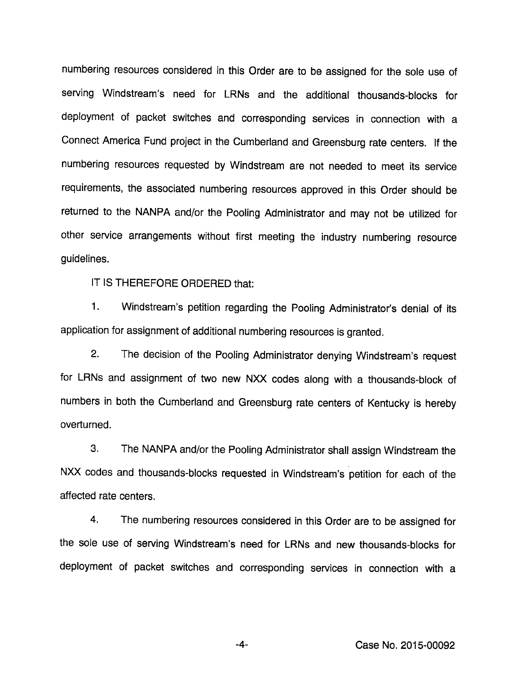numbering resources considered in this Order are to be assigned for the soie use of serving Windstream's need for LRNs and the additionai thousands-blocks for deployment of packet switches and corresponding services in connection with a Connect America Fund project in the Cumberland and Greensburg rate centers, if the numbering resources requested by Windstream are not needed to meet its service requirements, the associated numbering resources approved in this Order should be returned to the NANPA and/or the Pooling Administrator and may not be utilized for other service arrangements without first meeting the industry numbering resource guidelines.

IT IS THEREFORE ORDERED that;

1. Windstream's petition regarding the Pooling Administrator's denial of its application for assignment of additional numbering resources is granted.

2. The decision of the Pooling Administrator denying Windstream's request for LRNs and assignment of two new NXX codes along with a thousands-block of numbers in both the Cumberland and Greensburg rate centers of Kentucky is hereby overturned.

3. The NANPA and/or the Pooling Administrator shall assign Windstream the NXX codes and thousands-blocks requested in Windstream's petition for each of the affected rate centers.

4. The numbering resources considered in this Order are to be assigned for the sole use of serving Windstream's need for LRNs and new thousands-blocks for deployment of packet switches and corresponding services in connection with a

-4- Case No. 2015-00092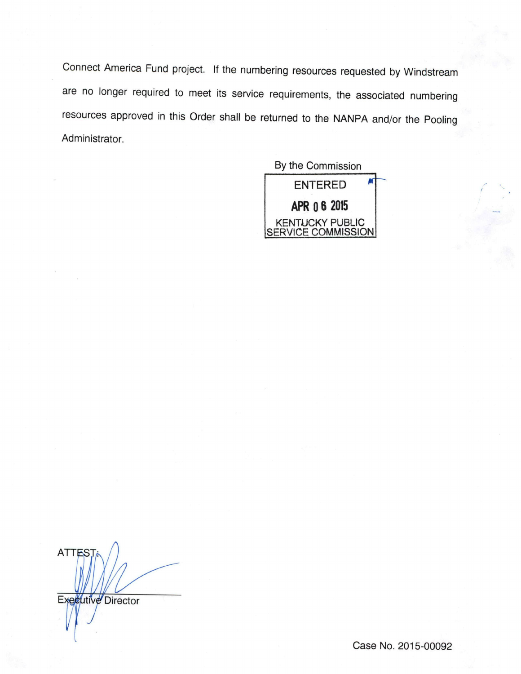Connect America Fund project. If the numbering resources requested by Windstream are no longer required to meet its service requirements, the associated numbering resources approved in this Order shall be returned to the NANPA and/or the Pooling Administrator.



**ATTES** Executive Director

Case No. 2015-00092